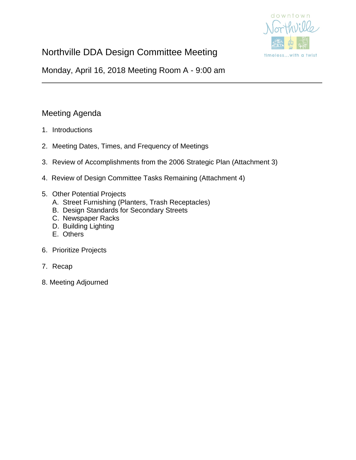

# Northville DDA Design Committee Meeting

Monday, April 16, 2018 Meeting Room A - 9:00 am

### Meeting Agenda

- 1. Introductions
- 2. Meeting Dates, Times, and Frequency of Meetings
- 3. Review of Accomplishments from the 2006 Strategic Plan (Attachment 3)
- 4. Review of Design Committee Tasks Remaining (Attachment 4)
- 5. Other Potential Projects
	- A. Street Furnishing (Planters, Trash Receptacles)
	- B. Design Standards for Secondary Streets
	- C. Newspaper Racks
	- D. Building Lighting
	- E. Others
- 6. Prioritize Projects
- 7. Recap
- 8. Meeting Adjourned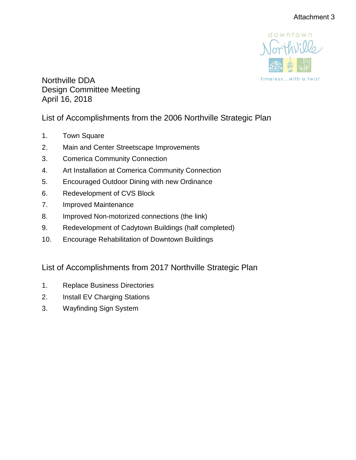

Northville DDA Design Committee Meeting April 16, 2018

# List of Accomplishments from the 2006 Northville Strategic Plan

- 1. Town Square
- 2. Main and Center Streetscape Improvements
- 3. Comerica Community Connection
- 4. Art Installation at Comerica Community Connection
- 5. Encouraged Outdoor Dining with new Ordinance
- 6. Redevelopment of CVS Block
- 7. Improved Maintenance
- 8. Improved Non-motorized connections (the link)
- 9. Redevelopment of Cadytown Buildings (half completed)
- 10. Encourage Rehabilitation of Downtown Buildings

# List of Accomplishments from 2017 Northville Strategic Plan

- 1. Replace Business Directories
- 2. Install EV Charging Stations
- 3. Wayfinding Sign System